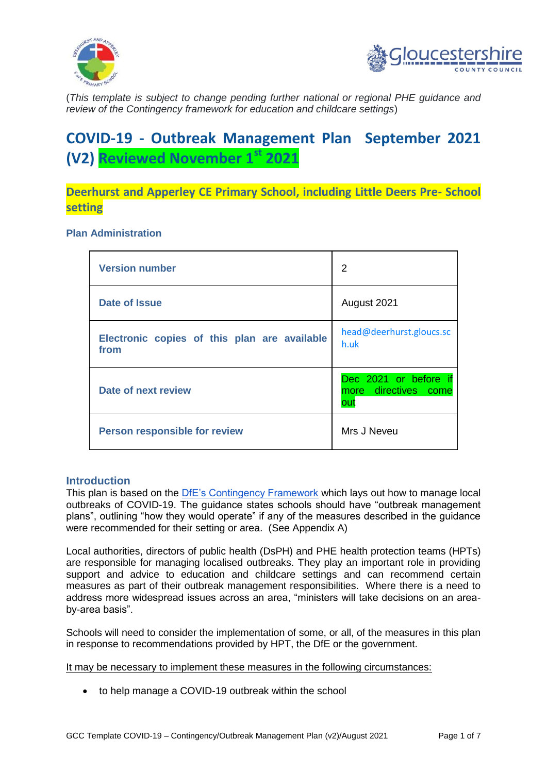



(*This template is subject to change pending further national or regional PHE guidance and review of the Contingency framework for education and childcare settings*)

# **COVID-19 - Outbreak Management Plan September 2021 (V2) Reviewed November 1st 2021**

**Deerhurst and Apperley CE Primary School, including Little Deers Pre- School setting**

#### **Plan Administration**

| <b>Version number</b>                                | 2                                                    |
|------------------------------------------------------|------------------------------------------------------|
| <b>Date of Issue</b>                                 | August 2021                                          |
| Electronic copies of this plan are available<br>from | head@deerhurst.gloucs.sc<br>h.uk                     |
| Date of next review                                  | Dec 2021 or before if<br>more directives come<br>out |
| <b>Person responsible for review</b>                 | Mrs J Neveu                                          |

### **Introduction**

This plan is based on the [DfE's Contingency Framework](https://www.gov.uk/government/publications/coronavirus-covid-19-local-restrictions-in-education-and-childcare-settings/contingency-framework-education-and-childcare-settings) which lays out how to manage local outbreaks of COVID-19. The guidance states schools should have "outbreak management plans", outlining "how they would operate" if any of the measures described in the guidance were recommended for their setting or area. (See Appendix A)

Local authorities, directors of public health (DsPH) and PHE health protection teams (HPTs) are responsible for managing localised outbreaks. They play an important role in providing support and advice to education and childcare settings and can recommend certain measures as part of their outbreak management responsibilities. Where there is a need to address more widespread issues across an area, "ministers will take decisions on an areaby-area basis".

Schools will need to consider the implementation of some, or all, of the measures in this plan in response to recommendations provided by HPT, the DfE or the government.

It may be necessary to implement these measures in the following circumstances:

to help manage a COVID-19 outbreak within the school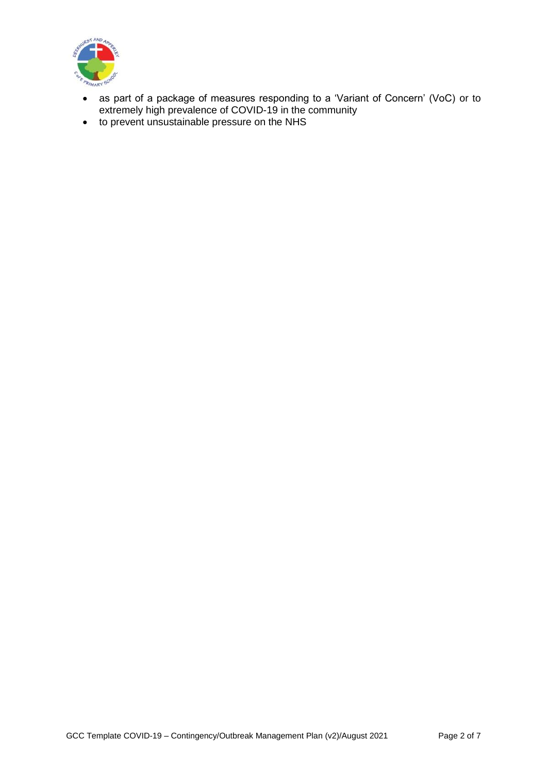

- as part of a package of measures responding to a 'Variant of Concern' (VoC) or to extremely high prevalence of COVID-19 in the community
- to prevent unsustainable pressure on the NHS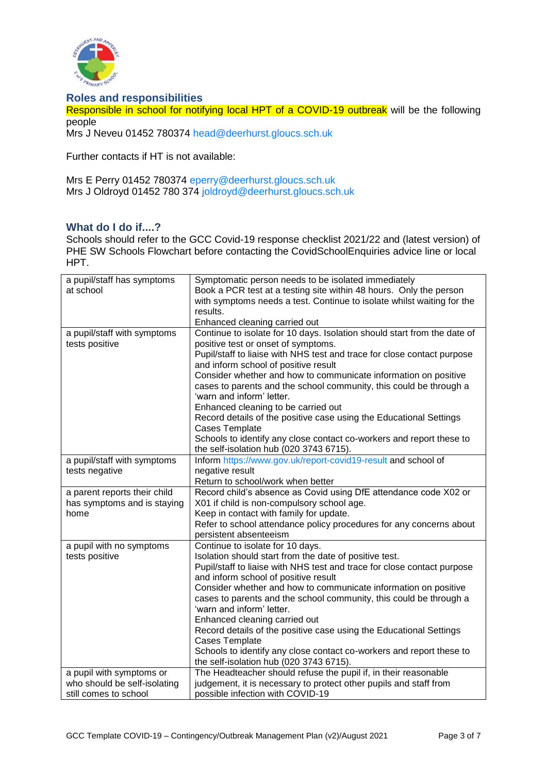

#### **Roles and responsibilities**

Responsible in school for notifying local HPT of a COVID-19 outbreak will be the following people

Mrs J Neveu 01452 780374 [head@deerhurst.gloucs.sch.uk](mailto:head@deerhurst.gloucs.sch.uk)

Further contacts if HT is not available:

Mrs E Perry 01452 780374 [eperry@deerhurst.gloucs.sch.uk](mailto:eperry@deerhurst.gloucs.sch.uk) Mrs J Oldroyd 01452 780 374 [joldroyd@deerhurst.gloucs.sch.uk](mailto:joldroyd@deerhurst.gloucs.sch.uk)

## **What do I do if....?**

Schools should refer to the GCC Covid-19 response checklist 2021/22 and (latest version) of PHE SW Schools Flowchart before contacting the CovidSchoolEnquiries advice line or local HPT.

| a pupil/staff has symptoms<br>at school                                           | Symptomatic person needs to be isolated immediately<br>Book a PCR test at a testing site within 48 hours. Only the person<br>with symptoms needs a test. Continue to isolate whilst waiting for the<br>results.<br>Enhanced cleaning carried out                                                                                                                                                                                                                                                                                                                                                                                                                  |
|-----------------------------------------------------------------------------------|-------------------------------------------------------------------------------------------------------------------------------------------------------------------------------------------------------------------------------------------------------------------------------------------------------------------------------------------------------------------------------------------------------------------------------------------------------------------------------------------------------------------------------------------------------------------------------------------------------------------------------------------------------------------|
| a pupil/staff with symptoms<br>tests positive                                     | Continue to isolate for 10 days. Isolation should start from the date of<br>positive test or onset of symptoms.<br>Pupil/staff to liaise with NHS test and trace for close contact purpose<br>and inform school of positive result<br>Consider whether and how to communicate information on positive<br>cases to parents and the school community, this could be through a<br>'warn and inform' letter.<br>Enhanced cleaning to be carried out<br>Record details of the positive case using the Educational Settings<br><b>Cases Template</b><br>Schools to identify any close contact co-workers and report these to<br>the self-isolation hub (020 3743 6715). |
| a pupil/staff with symptoms<br>tests negative                                     | Inform https://www.gov.uk/report-covid19-result and school of<br>negative result<br>Return to school/work when better                                                                                                                                                                                                                                                                                                                                                                                                                                                                                                                                             |
| a parent reports their child<br>has symptoms and is staying<br>home               | Record child's absence as Covid using DfE attendance code X02 or<br>X01 if child is non-compulsory school age.<br>Keep in contact with family for update.<br>Refer to school attendance policy procedures for any concerns about<br>persistent absenteeism                                                                                                                                                                                                                                                                                                                                                                                                        |
| a pupil with no symptoms<br>tests positive                                        | Continue to isolate for 10 days.<br>Isolation should start from the date of positive test.<br>Pupil/staff to liaise with NHS test and trace for close contact purpose<br>and inform school of positive result<br>Consider whether and how to communicate information on positive<br>cases to parents and the school community, this could be through a<br>'warn and inform' letter.<br>Enhanced cleaning carried out<br>Record details of the positive case using the Educational Settings<br><b>Cases Template</b><br>Schools to identify any close contact co-workers and report these to<br>the self-isolation hub (020 3743 6715).                            |
| a pupil with symptoms or<br>who should be self-isolating<br>still comes to school | The Headteacher should refuse the pupil if, in their reasonable<br>judgement, it is necessary to protect other pupils and staff from<br>possible infection with COVID-19                                                                                                                                                                                                                                                                                                                                                                                                                                                                                          |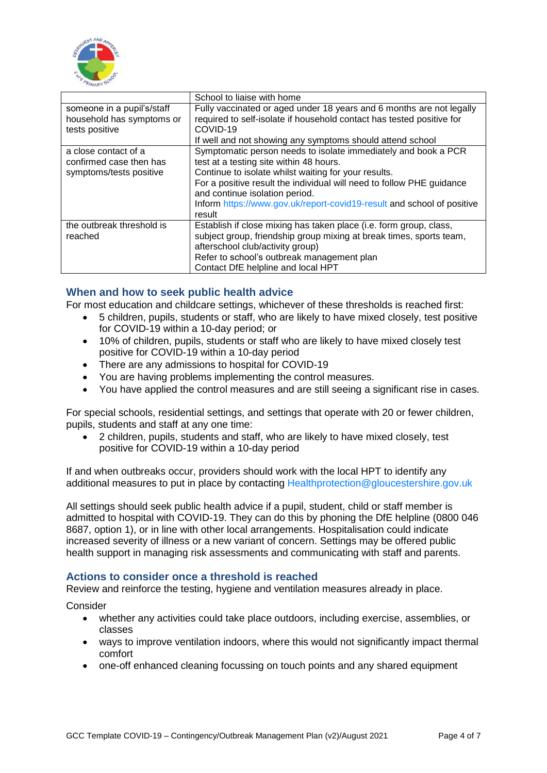

|                                                                            | School to liaise with home                                                                                                                                                                                                                                                                                                                                       |
|----------------------------------------------------------------------------|------------------------------------------------------------------------------------------------------------------------------------------------------------------------------------------------------------------------------------------------------------------------------------------------------------------------------------------------------------------|
| someone in a pupil's/staff<br>household has symptoms or<br>tests positive  | Fully vaccinated or aged under 18 years and 6 months are not legally<br>required to self-isolate if household contact has tested positive for<br>COVID-19<br>If well and not showing any symptoms should attend school                                                                                                                                           |
| a close contact of a<br>confirmed case then has<br>symptoms/tests positive | Symptomatic person needs to isolate immediately and book a PCR<br>test at a testing site within 48 hours.<br>Continue to isolate whilst waiting for your results.<br>For a positive result the individual will need to follow PHE guidance<br>and continue isolation period.<br>Inform https://www.gov.uk/report-covid19-result and school of positive<br>result |
| the outbreak threshold is<br>reached                                       | Establish if close mixing has taken place (i.e. form group, class,<br>subject group, friendship group mixing at break times, sports team,<br>afterschool club/activity group)<br>Refer to school's outbreak management plan<br>Contact DfE helpline and local HPT                                                                                                |

## **When and how to seek public health advice**

For most education and childcare settings, whichever of these thresholds is reached first:

- 5 children, pupils, students or staff, who are likely to have mixed closely, test positive for COVID-19 within a 10-day period; or
- 10% of children, pupils, students or staff who are likely to have mixed closely test positive for COVID-19 within a 10-day period
- There are any admissions to hospital for COVID-19
- You are having problems implementing the control measures.
- You have applied the control measures and are still seeing a significant rise in cases.

For special schools, residential settings, and settings that operate with 20 or fewer children, pupils, students and staff at any one time:

 2 children, pupils, students and staff, who are likely to have mixed closely, test positive for COVID-19 within a 10-day period

If and when outbreaks occur, providers should work with the local HPT to identify any additional measures to put in place by contacting [Healthprotection@gloucestershire.gov.uk](mailto:Healthprotection@gloucestershire.gov.uk)

All settings should seek public health advice if a pupil, student, child or staff member is admitted to hospital with COVID-19. They can do this by phoning the DfE helpline (0800 046 8687, option 1), or in line with other local arrangements. Hospitalisation could indicate increased severity of illness or a new variant of concern. Settings may be offered public health support in managing risk assessments and communicating with staff and parents.

#### **Actions to consider once a threshold is reached**

Review and reinforce the testing, hygiene and ventilation measures already in place.

**Consider** 

- whether any activities could take place outdoors, including exercise, assemblies, or classes
- ways to improve ventilation indoors, where this would not significantly impact thermal comfort
- one-off enhanced cleaning focussing on touch points and any shared equipment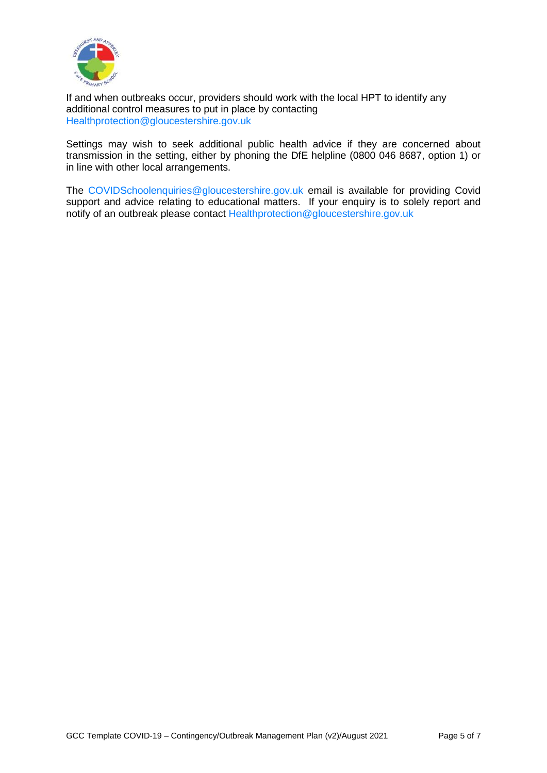

If and when outbreaks occur, providers should work with the local HPT to identify any additional control measures to put in place by contacting [Healthprotection@gloucestershire.gov.uk](mailto:Healthprotection@gloucestershire.gov.uk)

Settings may wish to seek additional public health advice if they are concerned about transmission in the setting, either by phoning the DfE helpline (0800 046 8687, option 1) or in line with other local arrangements.

The [COVIDSchoolenquiries@gloucestershire.gov.uk](mailto:COVIDSchoolenquiries@gloucestershire.gov.uk) email is available for providing Covid support and advice relating to educational matters. If your enquiry is to solely report and notify of an outbreak please contact [Healthprotection@gloucestershire.gov.uk](mailto:Healthprotection@gloucestershire.gov.uk)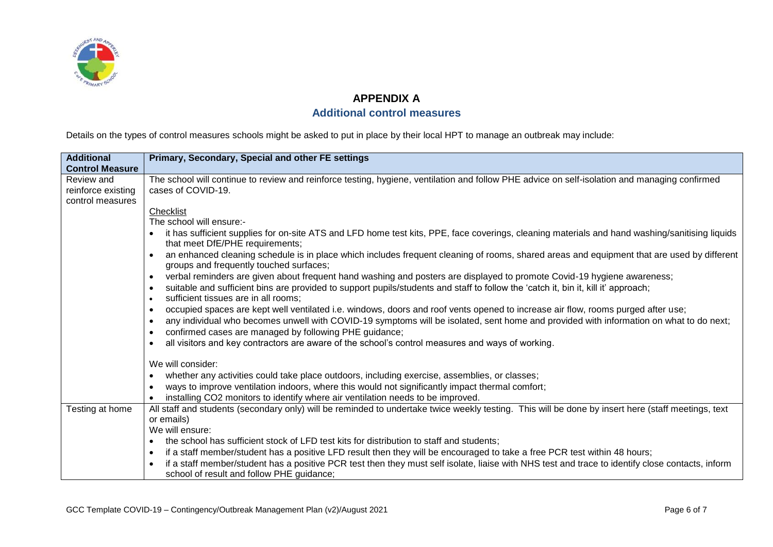

## **APPENDIX A**

# **Additional control measures**

Details on the types of control measures schools might be asked to put in place by their local HPT to manage an outbreak may include:

| <b>Additional</b>                                    | Primary, Secondary, Special and other FE settings                                                                                                                                                |
|------------------------------------------------------|--------------------------------------------------------------------------------------------------------------------------------------------------------------------------------------------------|
| <b>Control Measure</b>                               |                                                                                                                                                                                                  |
| Review and<br>reinforce existing<br>control measures | The school will continue to review and reinforce testing, hygiene, ventilation and follow PHE advice on self-isolation and managing confirmed<br>cases of COVID-19.                              |
|                                                      | Checklist                                                                                                                                                                                        |
|                                                      | The school will ensure:-                                                                                                                                                                         |
|                                                      | it has sufficient supplies for on-site ATS and LFD home test kits, PPE, face coverings, cleaning materials and hand washing/sanitising liquids<br>that meet DfE/PHE requirements;                |
|                                                      | an enhanced cleaning schedule is in place which includes frequent cleaning of rooms, shared areas and equipment that are used by different<br>groups and frequently touched surfaces;            |
|                                                      | verbal reminders are given about frequent hand washing and posters are displayed to promote Covid-19 hygiene awareness;<br>$\bullet$                                                             |
|                                                      | suitable and sufficient bins are provided to support pupils/students and staff to follow the 'catch it, bin it, kill it' approach;                                                               |
|                                                      | sufficient tissues are in all rooms;<br>$\bullet$                                                                                                                                                |
|                                                      | occupied spaces are kept well ventilated i.e. windows, doors and roof vents opened to increase air flow, rooms purged after use;<br>$\bullet$                                                    |
|                                                      | any individual who becomes unwell with COVID-19 symptoms will be isolated, sent home and provided with information on what to do next;<br>confirmed cases are managed by following PHE guidance; |
|                                                      | all visitors and key contractors are aware of the school's control measures and ways of working.                                                                                                 |
|                                                      | We will consider:                                                                                                                                                                                |
|                                                      | whether any activities could take place outdoors, including exercise, assemblies, or classes;<br>$\bullet$                                                                                       |
|                                                      | ways to improve ventilation indoors, where this would not significantly impact thermal comfort;                                                                                                  |
|                                                      | installing CO2 monitors to identify where air ventilation needs to be improved.                                                                                                                  |
| Testing at home                                      | All staff and students (secondary only) will be reminded to undertake twice weekly testing. This will be done by insert here (staff meetings, text                                               |
|                                                      | or emails)                                                                                                                                                                                       |
|                                                      | We will ensure:                                                                                                                                                                                  |
|                                                      | the school has sufficient stock of LFD test kits for distribution to staff and students;<br>$\bullet$                                                                                            |
|                                                      | if a staff member/student has a positive LFD result then they will be encouraged to take a free PCR test within 48 hours;                                                                        |
|                                                      | if a staff member/student has a positive PCR test then they must self isolate, liaise with NHS test and trace to identify close contacts, inform<br>school of result and follow PHE guidance;    |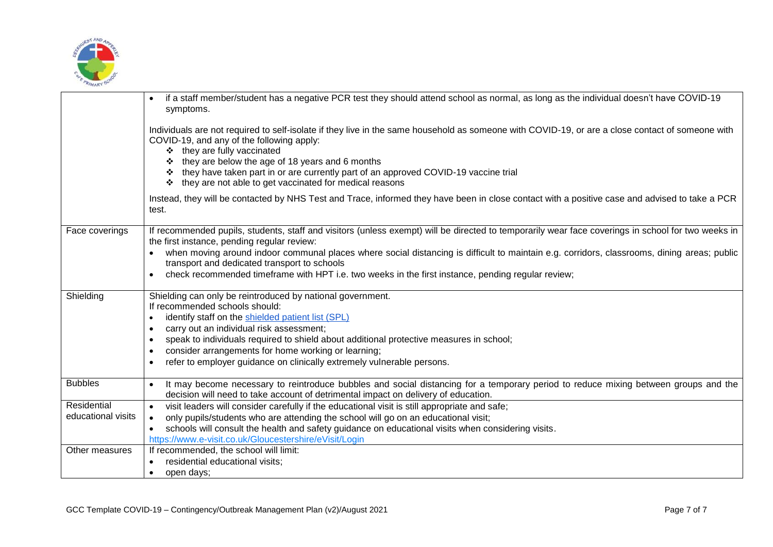

|                    | if a staff member/student has a negative PCR test they should attend school as normal, as long as the individual doesn't have COVID-19<br>symptoms.                                                                                                                                                                                                                                                                                 |
|--------------------|-------------------------------------------------------------------------------------------------------------------------------------------------------------------------------------------------------------------------------------------------------------------------------------------------------------------------------------------------------------------------------------------------------------------------------------|
|                    | Individuals are not required to self-isolate if they live in the same household as someone with COVID-19, or are a close contact of someone with<br>COVID-19, and any of the following apply:<br>❖ they are fully vaccinated<br>they are below the age of 18 years and 6 months<br>they have taken part in or are currently part of an approved COVID-19 vaccine trial<br>❖ they are not able to get vaccinated for medical reasons |
|                    | Instead, they will be contacted by NHS Test and Trace, informed they have been in close contact with a positive case and advised to take a PCR<br>test.                                                                                                                                                                                                                                                                             |
| Face coverings     | If recommended pupils, students, staff and visitors (unless exempt) will be directed to temporarily wear face coverings in school for two weeks in<br>the first instance, pending regular review:                                                                                                                                                                                                                                   |
|                    | when moving around indoor communal places where social distancing is difficult to maintain e.g. corridors, classrooms, dining areas; public<br>transport and dedicated transport to schools                                                                                                                                                                                                                                         |
|                    | check recommended timeframe with HPT i.e. two weeks in the first instance, pending regular review;<br>$\bullet$                                                                                                                                                                                                                                                                                                                     |
| Shielding          | Shielding can only be reintroduced by national government.<br>If recommended schools should:                                                                                                                                                                                                                                                                                                                                        |
|                    | identify staff on the shielded patient list (SPL)<br>$\bullet$                                                                                                                                                                                                                                                                                                                                                                      |
|                    | carry out an individual risk assessment;<br>$\bullet$                                                                                                                                                                                                                                                                                                                                                                               |
|                    | speak to individuals required to shield about additional protective measures in school;                                                                                                                                                                                                                                                                                                                                             |
|                    | consider arrangements for home working or learning;                                                                                                                                                                                                                                                                                                                                                                                 |
|                    | refer to employer guidance on clinically extremely vulnerable persons.                                                                                                                                                                                                                                                                                                                                                              |
| <b>Bubbles</b>     | It may become necessary to reintroduce bubbles and social distancing for a temporary period to reduce mixing between groups and the<br>$\bullet$<br>decision will need to take account of detrimental impact on delivery of education.                                                                                                                                                                                              |
| Residential        | visit leaders will consider carefully if the educational visit is still appropriate and safe;<br>$\bullet$                                                                                                                                                                                                                                                                                                                          |
| educational visits | only pupils/students who are attending the school will go on an educational visit;<br>$\bullet$                                                                                                                                                                                                                                                                                                                                     |
|                    | schools will consult the health and safety guidance on educational visits when considering visits.                                                                                                                                                                                                                                                                                                                                  |
|                    | https://www.e-visit.co.uk/Gloucestershire/eVisit/Login                                                                                                                                                                                                                                                                                                                                                                              |
| Other measures     | If recommended, the school will limit:                                                                                                                                                                                                                                                                                                                                                                                              |
|                    | residential educational visits;                                                                                                                                                                                                                                                                                                                                                                                                     |
|                    | open days;<br>$\bullet$                                                                                                                                                                                                                                                                                                                                                                                                             |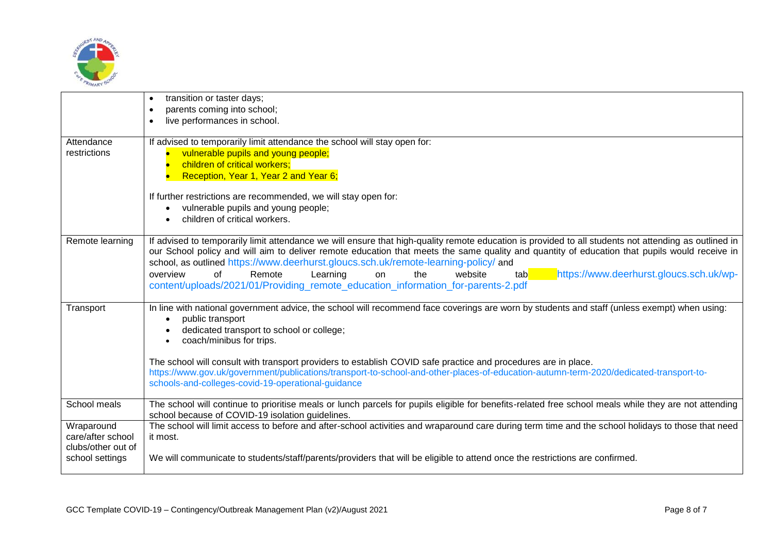

|                                 | transition or taster days;<br>$\bullet$                                                                                                                                                                                                                                                                |
|---------------------------------|--------------------------------------------------------------------------------------------------------------------------------------------------------------------------------------------------------------------------------------------------------------------------------------------------------|
|                                 | parents coming into school;<br>$\bullet$                                                                                                                                                                                                                                                               |
|                                 | live performances in school.<br>$\bullet$                                                                                                                                                                                                                                                              |
|                                 |                                                                                                                                                                                                                                                                                                        |
| Attendance                      | If advised to temporarily limit attendance the school will stay open for:                                                                                                                                                                                                                              |
| restrictions                    | vulnerable pupils and young people;                                                                                                                                                                                                                                                                    |
|                                 | children of critical workers;                                                                                                                                                                                                                                                                          |
|                                 | Reception, Year 1, Year 2 and Year 6;                                                                                                                                                                                                                                                                  |
|                                 | If further restrictions are recommended, we will stay open for:                                                                                                                                                                                                                                        |
|                                 | vulnerable pupils and young people;                                                                                                                                                                                                                                                                    |
|                                 | children of critical workers.                                                                                                                                                                                                                                                                          |
|                                 |                                                                                                                                                                                                                                                                                                        |
| Remote learning                 | If advised to temporarily limit attendance we will ensure that high-quality remote education is provided to all students not attending as outlined in<br>our School policy and will aim to deliver remote education that meets the same quality and quantity of education that pupils would receive in |
|                                 |                                                                                                                                                                                                                                                                                                        |
|                                 | school, as outlined https://www.deerhurst.gloucs.sch.uk/remote-learning-policy/ and<br>of                                                                                                                                                                                                              |
|                                 | https://www.deerhurst.gloucs.sch.uk/wp-<br>overview<br>Remote<br>Learning<br>the<br>website<br>on<br>tabl                                                                                                                                                                                              |
|                                 | content/uploads/2021/01/Providing_remote_education_information_for-parents-2.pdf                                                                                                                                                                                                                       |
| Transport                       | In line with national government advice, the school will recommend face coverings are worn by students and staff (unless exempt) when using:                                                                                                                                                           |
|                                 | public transport                                                                                                                                                                                                                                                                                       |
|                                 | dedicated transport to school or college;                                                                                                                                                                                                                                                              |
|                                 | coach/minibus for trips.                                                                                                                                                                                                                                                                               |
|                                 | The school will consult with transport providers to establish COVID safe practice and procedures are in place.                                                                                                                                                                                         |
|                                 | https://www.gov.uk/government/publications/transport-to-school-and-other-places-of-education-autumn-term-2020/dedicated-transport-to-                                                                                                                                                                  |
|                                 | schools-and-colleges-covid-19-operational-guidance                                                                                                                                                                                                                                                     |
|                                 |                                                                                                                                                                                                                                                                                                        |
| School meals                    | The school will continue to prioritise meals or lunch parcels for pupils eligible for benefits-related free school meals while they are not attending                                                                                                                                                  |
|                                 | school because of COVID-19 isolation guidelines.                                                                                                                                                                                                                                                       |
| Wraparound<br>care/after school | The school will limit access to before and after-school activities and wraparound care during term time and the school holidays to those that need                                                                                                                                                     |
| clubs/other out of              | it most.                                                                                                                                                                                                                                                                                               |
| school settings                 | We will communicate to students/staff/parents/providers that will be eligible to attend once the restrictions are confirmed.                                                                                                                                                                           |
|                                 |                                                                                                                                                                                                                                                                                                        |